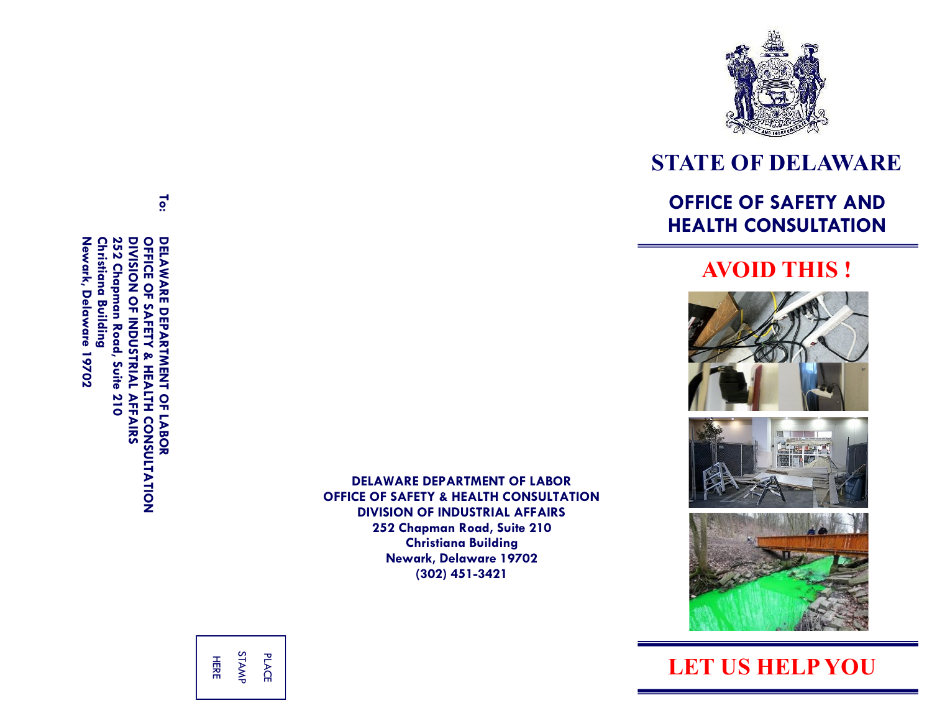

# **STATE OF DELAWARE**

### **OFFICE OF SAFETY AND HEALTH CONSULTATION**

### **AVOID THIS !**







**LET US HELP YOU**

OFFICE Newark, Delaware 19702 **Newark, Delaware 19702 Christiana Building Christiana Building** 252 Chapman Road, **252 Chapman Road, Suite 210** DIVISION<br>
OF IND NOS **DIVISION OF INDUSTRIAL AFFAIRS OFFICE OF SAFETY & HEALTH CONSULTATION** DELAWARE DEPARTMENT OF LABOR **DELAWARE DEPARTMENT OF LABOR**  $\mathbf{o}$ **AFET** Suite <u>או שו</u> Ę 210 **AFFAIRS** CONSULTATION

**To:**

**DELAWARE DEPARTMENT OF LABOR OFFICE OF SAFETY & HEALTH CONSULTATION DIVISION OF INDUSTRIAL AFFAIRS 252 Chapman Road, Suite 210 Christiana Building Newark, Delaware 19702 (302) 451 -3421**

HERE STAMP PLACE